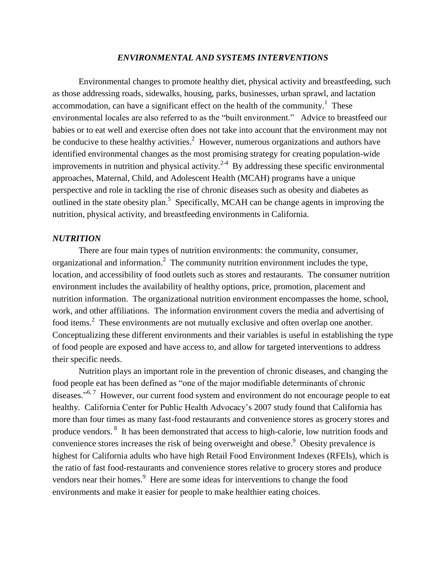## *ENVIRONMENTAL AND SYSTEMS INTERVENTIONS*

Environmental changes to promote healthy diet, physical activity and breastfeeding, such as those addressing roads, sidewalks, housing, parks, businesses, urban sprawl, and lactation accommodation, can have a significant effect on the health of the community[.](#page-5-0)<sup>1</sup> These environmental locales are also referred to as the "built environment." Advice to breastfeed our babies or to eat well and exercise often does not take into account that the environment may not be conducive to these healthy activities[.](#page-5-1)<sup>2</sup> However, numerous organizations and authors have identified environmental changes as the most promising strategy for creating population-wide improvements in nutrition and physical activity.<sup>[2-4](#page-5-1)</sup> By addressing these specific environmental approaches, Maternal, Child, and Adolescent Health (MCAH) programs have a unique perspective and role in tackling the rise of chronic diseases such as obesity and diabetes as outlined in the state obesity plan[.](#page-5-2)<sup>5</sup> Specifically, MCAH can be change agents in improving the nutrition, physical activity, and breastfeeding environments in California.

## *NUTRITION*

There are four main types of nutrition environments: the community, consumer, organizational and information[.](#page-5-1)<sup>2</sup> The community nutrition environment includes the type, location, and accessibility of food outlets such as stores and restaurants. The consumer nutrition environment includes the availability of healthy options, price, promotion, placement and nutrition information. The organizational nutrition environment encompasses the home, school, work, and other affiliations. The information environment covers the media and advertising of food items.<sup>[2](#page-5-1)</sup> These environments are not mutually exclusive and often overlap one another. Conceptualizing these different environments and their variables is useful in establishing the type of food people are exposed and have access to, and allow for targeted interventions to address their specific needs.

Nutrition plays an important role in the prevention of chronic diseases, and changing the food people eat has been defined as "one of the major modifiable determinants of chronic diseases."<sup>[6,](#page-5-3)7</sup> However, our current food system and environment do not encourage people to eat healthy. California Center for Public Health Advocacy's 2007 study found that California has more than four times as many fast-food restaurants and convenience stores as grocery stores and produce vendors[.](#page-5-5) <sup>8</sup> [I](#page-5-5)t has been demonstrated that access to high-calorie, low nutrition foods and convenience stores increases the risk of being overweight and obese.<sup>[9](#page-5-6)</sup> Obesity prevalence is highest for California adults who have high Retail Food Environment Indexes (RFEIs), which is the ratio of fast food-restaurants and convenience stores relative to grocery stores and produce vendors near their homes.<sup>[9](#page-5-6)</sup> Here are some ideas for interventions to change the food environments and make it easier for people to make healthier eating choices.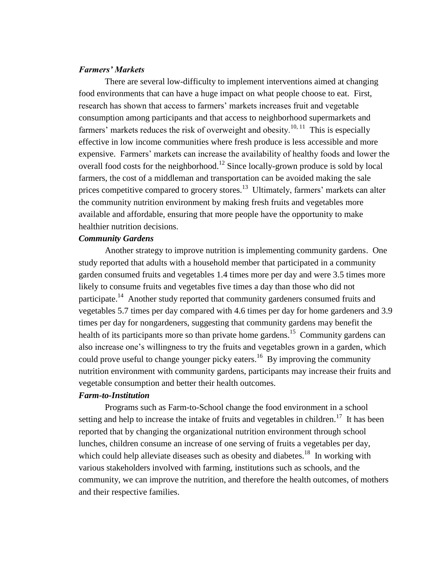## *Farmers' Markets*

There are several low-difficulty to implement interventions aimed at changing food environments that can have a huge impact on what people choose to eat. First, research has shown that access to farmers' markets increases fruit and vegetable consumption among participants and that access to neighborhood supermarkets and farmers' markets reduces the risk of overweight and obesity.<sup>[10,](#page-5-7) [11](#page-5-8)</sup> This is especially effective in low income communities where fresh produce is less accessible and more expensive. Farmers' markets can increase the availability of healthy foods and lower the overall food costs for the neighborhood.<sup>[12](#page-5-9)</sup> Since locally-grown produce is sold by local farmers, the cost of a middleman and transportation can be avoided making the sale prices competitive compared to grocery stores.<sup>[13](#page-5-10)</sup> Ultimately, farmers' markets can alter the community nutrition environment by making fresh fruits and vegetables more available and affordable, ensuring that more people have the opportunity to make healthier nutrition decisions.

## *Community Gardens*

Another strategy to improve nutrition is implementing community gardens. One study reported that adults with a household member that participated in a community garden consumed fruits and vegetables 1.4 times more per day and were 3.5 times more likely to consume fruits and vegetables five times a day than those who did not participate.<sup>[14](#page-5-11)</sup> Another study reported that community gardeners consumed fruits and vegetables 5.7 times per day compared with 4.6 times per day for home gardeners and 3.9 times per day for nongardeners, suggesting that community gardens may benefit the health of its participants more so than private home gardens.<sup>[15](#page-5-12)</sup> Community gardens can also increase one's willingness to try the fruits and vegetables grown in a garden, which could prove useful to change younger picky eaters.<sup>[16](#page-5-13)</sup> By improving the community nutrition environment with community gardens, participants may increase their fruits and vegetable consumption and better their health outcomes.

#### *Farm-to-Institution*

Programs such as Farm-to-School change the food environment in a school setting and help to increase the intake of fruits and vegetables in children.<sup>[17](#page-5-14)</sup> It has been reported that by changing the organizational nutrition environment through school lunches, children consume an increase of one serving of fruits a vegetables per day, which could help alleviate diseases such as obesity and diabetes.<sup>[18](#page-5-15)</sup> In working with various stakeholders involved with farming, institutions such as schools, and the community, we can improve the nutrition, and therefore the health outcomes, of mothers and their respective families.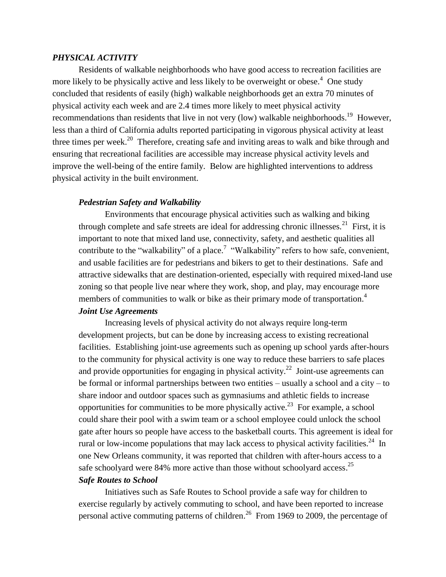## *PHYSICAL ACTIVITY*

Residents of walkable neighborhoods who have good access to recreation facilities are more likely to be physically active and less likely to be overweight or obese.<sup>[4](#page-5-16)</sup> One study concluded that residents of easily (high) walkable neighborhoods get an extra 70 minutes of physical activity each week and are 2.4 times more likely to meet physical activity recommendations than residents that live in not very (low) walkable neighborhoods.<sup>[19](#page-5-17)</sup> However, less than a third of California adults reported participating in vigorous physical activity at least three times per week.<sup>[20](#page-6-0)</sup> Therefore, creating safe and inviting areas to walk and bike through and ensuring that recreational facilities are accessible may increase physical activity levels and improve the well-being of the entire family. Below are highlighted interventions to address physical activity in the built environment.

## *Pedestrian Safety and Walkability*

Environments that encourage physical activities such as walking and biking through complete and safe streets are ideal for addressing chronic illnesses.<sup>[21](#page-6-1)</sup> First, it is important to note that mixed land use, connectivity, safety, and aesthetic qualities all contribute to the "walkability" of a place.<sup>[7](#page-5-4)</sup> "Walkability" refers to how safe, convenient, and usable facilities are for pedestrians and bikers to get to their destinations. Safe and attractive sidewalks that are destination-oriented, especially with required mixed-land use zoning so that people live near where they work, shop, and play, may encourage more members of communities to walk or bike as their primary mode of transportation[.](#page-5-16)<sup>4</sup> *Joint Use Agreements*

Increasing levels of physical activity do not always require long-term development projects, but can be done by increasing access to existing recreational facilities. Establishing joint-use agreements such as opening up school yards after-hours to the community for physical activity is one way to reduce these barriers to safe places and provide opportunities for engaging in physical activity.<sup>[22](#page-6-2)</sup> Joint-use agreements can be formal or informal partnerships between two entities – usually a school and a city – to share indoor and outdoor spaces such as gymnasiums and athletic fields to increase opportunities for communities to be more physically active.<sup>[23](#page-6-3)</sup> For example, a school could share their pool with a swim team or a school employee could unlock the school gate after hours so people have access to the basketball courts. This agreement is ideal for rural or low-income populations that may lack access to physical activity facilities.<sup>[24](#page-6-4)</sup> In one New Orleans community, it was reported that children with after-hours access to a safe schoolyard were 84% more active than those without schoolyard access.<sup>[25](#page-6-5)</sup>

## *Safe Routes to School*

Initiatives such as Safe Routes to School provide a safe way for children to exercise regularly by actively commuting to school, and have been reported to increase personal active commuting patterns of children.<sup>[26](#page-6-6)</sup> From 1969 to 2009, the percentage of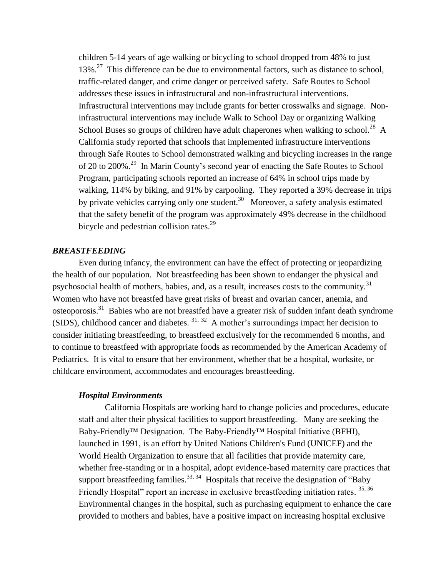children 5-14 years of age walking or bicycling to school dropped from 48% to just 13%.<sup>[27](#page-6-7)</sup> This difference can be due to environmental factors, such as distance to school, traffic-related danger, and crime danger or perceived safety. Safe Routes to School addresses these issues in infrastructural and non-infrastructural interventions. Infrastructural interventions may include grants for better crosswalks and signage. Noninfrastructural interventions may include Walk to School Day or organizing Walking School Buses so groups of children have adult chaperones when walking to school.<sup>[28](#page-6-8)</sup> A California study reported that schools that implemented infrastructure interventions through Safe Routes to School demonstrated walking and bicycling increases in the range of 20 to 200%.<sup>[29](#page-6-9)</sup> In Marin County's second year of enacting the Safe Routes to School Program, participating schools reported an increase of 64% in school trips made by walking, 114% by biking, and 91% by carpooling. They reported a 39% decrease in trips by private vehicles carrying only one student.<sup>[30](#page-6-10)</sup> Moreover, a safety analysis estimated that the safety benefit of the program was approximately 49% decrease in the childhood bicycle and pedestrian collision rates.<sup>[29](#page-6-9)</sup>

### *BREASTFEEDING*

Even during infancy, the environment can have the effect of protecting or jeopardizing the health of our population. Not breastfeeding has been shown to endanger the physical and psychosocial health of mothers, babies, and, as a result, increases costs to the community.<sup>[31](#page-6-11)</sup> Women who have not breastfed have great risks of breast and ovarian cancer, anemia, and osteoporosis.<sup>[31](#page-6-11)</sup> Babies who are not breastfed have a greater risk of sudden infant death syndrome (SIDS), childhood cancer and diabetes.  $31, 32$  $31, 32$  $31, 32$  A mother's surroundings impact her decision to consider initiating breastfeeding, to breastfeed exclusively for the recommended 6 months, and to continue to breastfeed with appropriate foods as recommended by the American Academy of Pediatrics. It is vital to ensure that her environment, whether that be a hospital, worksite, or childcare environment, accommodates and encourages breastfeeding.

#### *Hospital Environments*

California Hospitals are working hard to change policies and procedures, educate staff and alter their physical facilities to support breastfeeding. Many are seeking the Baby-Friendly™ Designation. The Baby-Friendly™ Hospital Initiative (BFHI), launched in 1991, is an effort by United Nations Children's Fund (UNICEF) and the World Health Organization to ensure that all facilities that provide maternity care, whether free-standing or in a hospital, adopt evidence-based maternity care practices that support breastfeeding families.<sup>[33,](#page-6-13) [34](#page-6-14)</sup> Hospitals that receive the designation of "Baby" Friendly Hospital" report an increase in exclusive breastfeeding initiation rates. [35,](#page-6-15) [36](#page-6-16) Environmental changes in the hospital, such as purchasing equipment to enhance the care provided to mothers and babies, have a positive impact on increasing hospital exclusive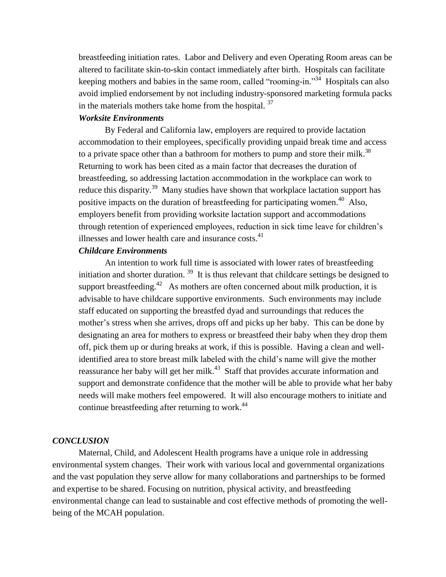breastfeeding initiation rates. Labor and Delivery and even Operating Room areas can be altered to facilitate skin-to-skin contact immediately after birth. Hospitals can facilitate keeping mothers and babies in the same room, called "rooming-in."[34](#page-6-14) Hospitals can also avoid implied endorsement by not including industry-sponsored marketing formula packs in the materials mothers take home from the hospital.  $37$ 

# *Worksite Environments*

By Federal and California law, employers are required to provide lactation accommodation to their employees, specifically providing unpaid break time and access to a private space other than a bathroom for mothers to pump and store their milk.<sup>[38](#page-6-18)</sup> Returning to work has been cited as a main factor that decreases the duration of breastfeeding, so addressing lactation accommodation in the workplace can work to reduce this disparity.<sup>[39](#page-6-19)</sup> Many studies have shown that workplace lactation support has positive impacts on the duration of breastfeeding for participating women.<sup>[40](#page-6-20)</sup> Also, employers benefit from providing worksite lactation support and accommodations through retention of experienced employees, reduction in sick time leave for children's illnesses and lower health care and insurance costs. $41$ 

## *Childcare Environments*

An intention to work full time is associated with lower rates of breastfeeding initiation and shorter duration.  $39$  It is thus relevant that childcare settings be designed to support breastfeeding.<sup>[42](#page-7-1)</sup> As mothers are often concerned about milk production, it is advisable to have childcare supportive environments. Such environments may include staff educated on supporting the breastfed dyad and surroundings that reduces the mother's stress when she arrives, drops off and picks up her baby. This can be done by designating an area for mothers to express or breastfeed their baby when they drop them off, pick them up or during breaks at work, if this is possible. Having a clean and wellidentified area to store breast milk labeled with the child's name will give the mother reassurance her baby will get her milk.<sup>[43](#page-7-2)</sup> Staff that provides accurate information and support and demonstrate confidence that the mother will be able to provide what her baby needs will make mothers feel empowered. It will also encourage mothers to initiate and continue breastfeeding after returning to work.<sup>[44](#page-7-3)</sup>

#### *CONCLUSION*

Maternal, Child, and Adolescent Health programs have a unique role in addressing environmental system changes. Their work with various local and governmental organizations and the vast population they serve allow for many collaborations and partnerships to be formed and expertise to be shared. Focusing on nutrition, physical activity, and breastfeeding environmental change can lead to sustainable and cost effective methods of promoting the wellbeing of the MCAH population.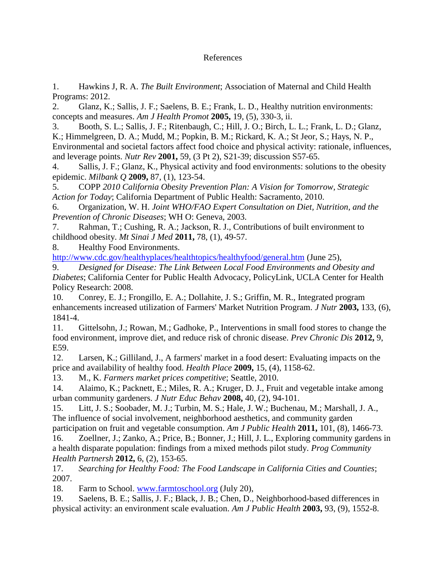# References

<span id="page-5-0"></span>1. Hawkins J, R. A. *The Built Environment*; Association of Maternal and Child Health Programs: 2012.

<span id="page-5-1"></span>2. Glanz, K.; Sallis, J. F.; Saelens, B. E.; Frank, L. D., Healthy nutrition environments: concepts and measures. *Am J Health Promot* **2005,** 19, (5), 330-3, ii.

3. Booth, S. L.; Sallis, J. F.; Ritenbaugh, C.; Hill, J. O.; Birch, L. L.; Frank, L. D.; Glanz, K.; Himmelgreen, D. A.; Mudd, M.; Popkin, B. M.; Rickard, K. A.; St Jeor, S.; Hays, N. P., Environmental and societal factors affect food choice and physical activity: rationale, influences, and leverage points. *Nutr Rev* **2001,** 59, (3 Pt 2), S21-39; discussion S57-65.

<span id="page-5-16"></span>4. Sallis, J. F.; Glanz, K., Physical activity and food environments: solutions to the obesity epidemic. *Milbank Q* **2009,** 87, (1), 123-54.

<span id="page-5-2"></span>5. COPP *2010 California Obesity Prevention Plan: A Vision for Tomorrow, Strategic Action for Today*; California Department of Public Health: Sacramento, 2010.

<span id="page-5-3"></span>6. Organization, W. H. *Joint WHO/FAO Expert Consultation on Diet, Nutrition, and the Prevention of Chronic Diseases*; WH O: Geneva, 2003.

<span id="page-5-4"></span>7. Rahman, T.; Cushing, R. A.; Jackson, R. J., Contributions of built environment to childhood obesity. *Mt Sinai J Med* **2011,** 78, (1), 49-57.

<span id="page-5-5"></span>8. Healthy Food Environments.

<http://www.cdc.gov/healthyplaces/healthtopics/healthyfood/general.htm> (June 25),

<span id="page-5-6"></span>9. *Designed for Disease: The Link Between Local Food Environments and Obesity and Diabetes*; California Center for Public Health Advocacy, PolicyLink, UCLA Center for Health Policy Research: 2008.

<span id="page-5-7"></span>10. Conrey, E. J.; Frongillo, E. A.; Dollahite, J. S.; Griffin, M. R., Integrated program enhancements increased utilization of Farmers' Market Nutrition Program. *J Nutr* **2003,** 133, (6), 1841-4.

<span id="page-5-8"></span>11. Gittelsohn, J.; Rowan, M.; Gadhoke, P., Interventions in small food stores to change the food environment, improve diet, and reduce risk of chronic disease. *Prev Chronic Dis* **2012,** 9, E59.

<span id="page-5-9"></span>12. Larsen, K.; Gilliland, J., A farmers' market in a food desert: Evaluating impacts on the price and availability of healthy food. *Health Place* **2009,** 15, (4), 1158-62.

<span id="page-5-10"></span>13. M., K. *Farmers market prices competitive*; Seattle, 2010.

<span id="page-5-11"></span>14. Alaimo, K.; Packnett, E.; Miles, R. A.; Kruger, D. J., Fruit and vegetable intake among urban community gardeners. *J Nutr Educ Behav* **2008,** 40, (2), 94-101.

<span id="page-5-12"></span>15. Litt, J. S.; Soobader, M. J.; Turbin, M. S.; Hale, J. W.; Buchenau, M.; Marshall, J. A., The influence of social involvement, neighborhood aesthetics, and community garden

<span id="page-5-13"></span>participation on fruit and vegetable consumption. *Am J Public Health* **2011,** 101, (8), 1466-73. 16. Zoellner, J.; Zanko, A.; Price, B.; Bonner, J.; Hill, J. L., Exploring community gardens in a health disparate population: findings from a mixed methods pilot study. *Prog Community Health Partnersh* **2012,** 6, (2), 153-65.

<span id="page-5-14"></span>17. *Searching for Healthy Food: The Food Landscape in California Cities and Counties*; 2007.

<span id="page-5-15"></span>18. Farm to School. [www.farmtoschool.org](http://www.farmtoschool.org/) (July 20),

<span id="page-5-17"></span>19. Saelens, B. E.; Sallis, J. F.; Black, J. B.; Chen, D., Neighborhood-based differences in physical activity: an environment scale evaluation. *Am J Public Health* **2003,** 93, (9), 1552-8.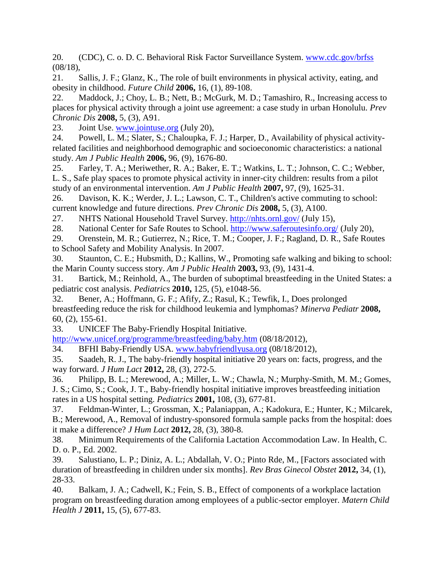<span id="page-6-0"></span>20. (CDC), C. o. D. C. Behavioral Risk Factor Surveillance System. [www.cdc.gov/brfss](http://www.cdc.gov/brfss) (08/18),

<span id="page-6-1"></span>21. Sallis, J. F.; Glanz, K., The role of built environments in physical activity, eating, and obesity in childhood. *Future Child* **2006,** 16, (1), 89-108.

<span id="page-6-2"></span>22. Maddock, J.; Choy, L. B.; Nett, B.; McGurk, M. D.; Tamashiro, R., Increasing access to places for physical activity through a joint use agreement: a case study in urban Honolulu. *Prev Chronic Dis* **2008,** 5, (3), A91.

<span id="page-6-3"></span>23. Joint Use. [www.jointuse.org](http://www.jointuse.org/) (July 20),

<span id="page-6-4"></span>24. Powell, L. M.; Slater, S.; Chaloupka, F. J.; Harper, D., Availability of physical activityrelated facilities and neighborhood demographic and socioeconomic characteristics: a national study. *Am J Public Health* **2006,** 96, (9), 1676-80.

<span id="page-6-5"></span>25. Farley, T. A.; Meriwether, R. A.; Baker, E. T.; Watkins, L. T.; Johnson, C. C.; Webber, L. S., Safe play spaces to promote physical activity in inner-city children: results from a pilot study of an environmental intervention. *Am J Public Health* **2007,** 97, (9), 1625-31.

<span id="page-6-6"></span>26. Davison, K. K.; Werder, J. L.; Lawson, C. T., Children's active commuting to school: current knowledge and future directions. *Prev Chronic Dis* **2008,** 5, (3), A100.

<span id="page-6-7"></span>27. NHTS National Household Travel Survey.<http://nhts.ornl.gov/> (July 15),

<span id="page-6-8"></span>28. National Center for Safe Routes to School.<http://www.saferoutesinfo.org/> (July 20),

<span id="page-6-9"></span>29. Orenstein, M. R.; Gutierrez, N.; Rice, T. M.; Cooper, J. F.; Ragland, D. R., Safe Routes to School Safety and Mobility Analysis. In 2007.

<span id="page-6-10"></span>30. Staunton, C. E.; Hubsmith, D.; Kallins, W., Promoting safe walking and biking to school: the Marin County success story. *Am J Public Health* **2003,** 93, (9), 1431-4.

<span id="page-6-11"></span>31. Bartick, M.; Reinhold, A., The burden of suboptimal breastfeeding in the United States: a pediatric cost analysis. *Pediatrics* **2010,** 125, (5), e1048-56.

<span id="page-6-12"></span>32. Bener, A.; Hoffmann, G. F.; Afify, Z.; Rasul, K.; Tewfik, I., Does prolonged breastfeeding reduce the risk for childhood leukemia and lymphomas? *Minerva Pediatr* **2008,** 60, (2), 155-61.

<span id="page-6-13"></span>33. UNICEF The Baby-Friendly Hospital Initiative.

<http://www.unicef.org/programme/breastfeeding/baby.htm> (08/18/2012),

<span id="page-6-14"></span>34. BFHI Baby-Friendly USA. [www.babyfriendlyusa.org](http://www.babyfriendlyusa.org/) (08/18/2012),

<span id="page-6-15"></span>35. Saadeh, R. J., The baby-friendly hospital initiative 20 years on: facts, progress, and the way forward. *J Hum Lact* **2012,** 28, (3), 272-5.

<span id="page-6-16"></span>36. Philipp, B. L.; Merewood, A.; Miller, L. W.; Chawla, N.; Murphy-Smith, M. M.; Gomes, J. S.; Cimo, S.; Cook, J. T., Baby-friendly hospital initiative improves breastfeeding initiation rates in a US hospital setting. *Pediatrics* **2001,** 108, (3), 677-81.

<span id="page-6-17"></span>37. Feldman-Winter, L.; Grossman, X.; Palaniappan, A.; Kadokura, E.; Hunter, K.; Milcarek, B.; Merewood, A., Removal of industry-sponsored formula sample packs from the hospital: does it make a difference? *J Hum Lact* **2012,** 28, (3), 380-8.

<span id="page-6-18"></span>38. Minimum Requirements of the California Lactation Accommodation Law. In Health, C. D. o. P., Ed. 2002.

<span id="page-6-19"></span>39. Salustiano, L. P.; Diniz, A. L.; Abdallah, V. O.; Pinto Rde, M., [Factors associated with duration of breastfeeding in children under six months]. *Rev Bras Ginecol Obstet* **2012,** 34, (1), 28-33.

<span id="page-6-20"></span>40. Balkam, J. A.; Cadwell, K.; Fein, S. B., Effect of components of a workplace lactation program on breastfeeding duration among employees of a public-sector employer. *Matern Child Health J* **2011,** 15, (5), 677-83.